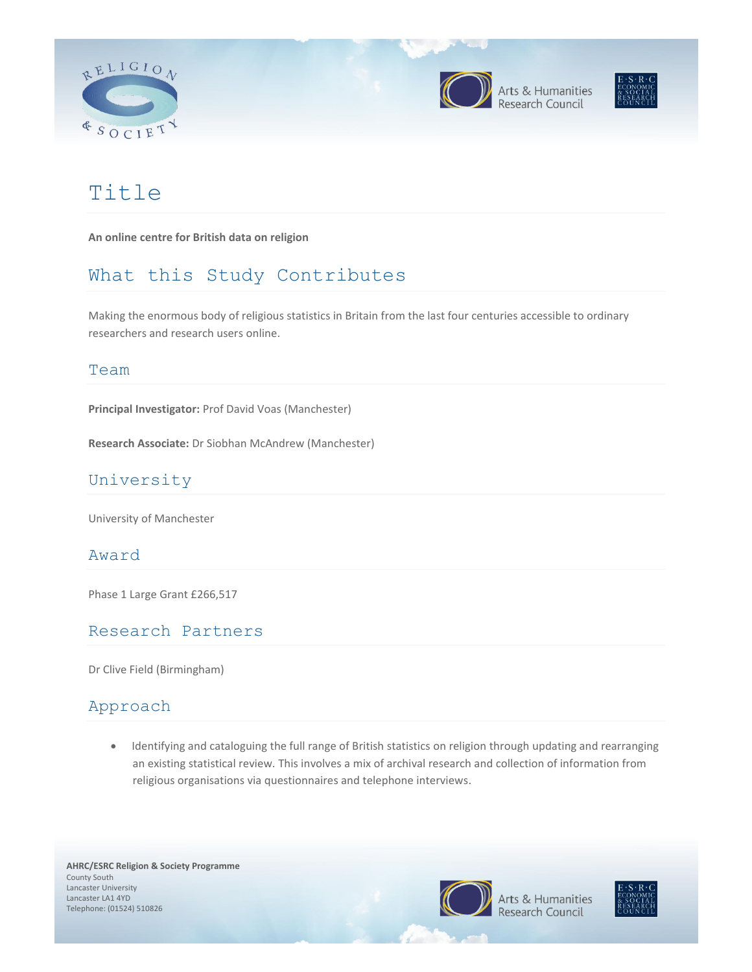





# Title

**An online centre for British data on religion**

## What this Study Contributes

Making the enormous body of religious statistics in Britain from the last four centuries accessible to ordinary researchers and research users online.

#### Team

**Principal Investigator:** Prof David Voas (Manchester)

**Research Associate:** Dr Siobhan McAndrew (Manchester)

### University

University of Manchester

#### Award

Phase 1 Large Grant £266,517

#### Research Partners

Dr Clive Field (Birmingham)

#### Approach

• Identifying and cataloguing the full range of British statistics on religion through updating and rearranging an existing statistical review. This involves a mix of archival research and collection of information from religious organisations via questionnaires and telephone interviews.

**AHRC/ESRC Religion & Society Programme**  County South Lancaster University Lancaster LA1 4YD Telephone: (01524) 510826



Arts & Humanities esearch Council

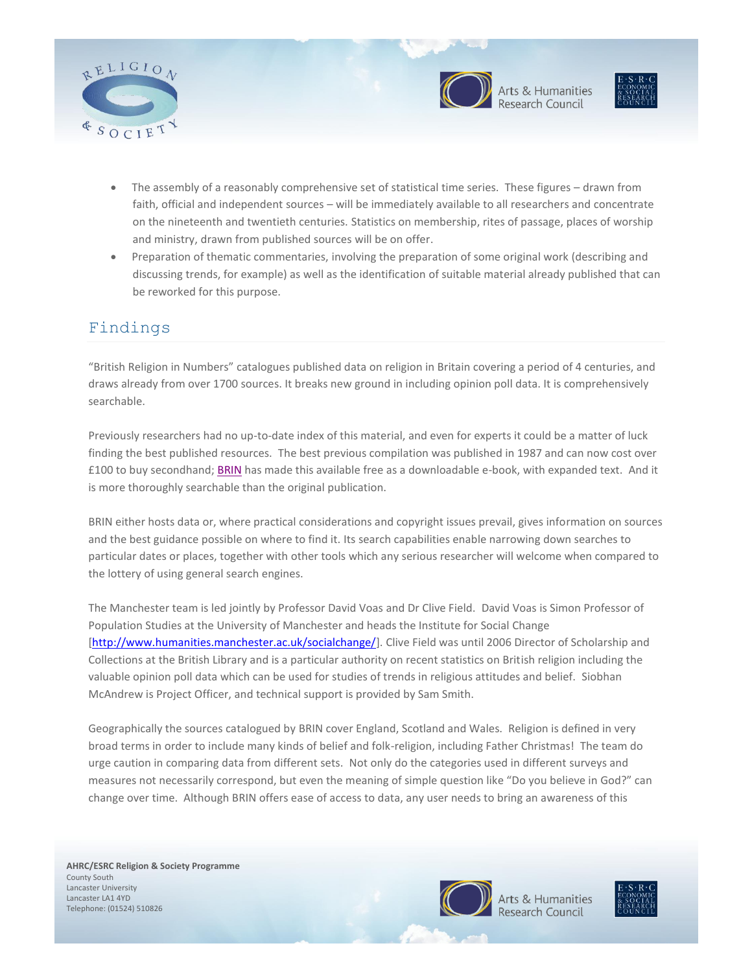



Arts & Humanities<br>Research Council



- The assembly of a reasonably comprehensive set of statistical time series. These figures drawn from faith, official and independent sources – will be immediately available to all researchers and concentrate on the nineteenth and twentieth centuries. Statistics on membership, rites of passage, places of worship and ministry, drawn from published sources will be on offer.
- Preparation of thematic commentaries, involving the preparation of some original work (describing and discussing trends, for example) as well as the identification of suitable material already published that can be reworked for this purpose.

### Findings

"British Religion in Numbers" catalogues published data on religion in Britain covering a period of 4 centuries, and draws already from over 1700 sources. It breaks new ground in including opinion poll data. It is comprehensively searchable.

Previously researchers had no up-to-date index of this material, and even for experts it could be a matter of luck finding the best published resources. The best previous compilation was published in 1987 and can now cost over £100 to buy secondhand; [BRIN](http://www.brin.ac.uk/) has made this available free as a downloadable e-book, with expanded text. And it is more thoroughly searchable than the original publication.

BRIN either hosts data or, where practical considerations and copyright issues prevail, gives information on sources and the best guidance possible on where to find it. Its search capabilities enable narrowing down searches to particular dates or places, together with other tools which any serious researcher will welcome when compared to the lottery of using general search engines.

The Manchester team is led jointly by Professor David Voas and Dr Clive Field. David Voas is Simon Professor of Population Studies at the University of Manchester and heads the Institute for Social Change [\[http://www.humanities.manchester.ac.uk/socialchange/\]](http://www.humanities.manchester.ac.uk/socialchange/). Clive Field was until 2006 Director of Scholarship and Collections at the British Library and is a particular authority on recent statistics on British religion including the valuable opinion poll data which can be used for studies of trends in religious attitudes and belief. Siobhan McAndrew is Project Officer, and technical support is provided by Sam Smith.

Geographically the sources catalogued by BRIN cover England, Scotland and Wales. Religion is defined in very broad terms in order to include many kinds of belief and folk-religion, including Father Christmas! The team do urge caution in comparing data from different sets. Not only do the categories used in different surveys and measures not necessarily correspond, but even the meaning of simple question like "Do you believe in God?" can change over time. Although BRIN offers ease of access to data, any user needs to bring an awareness of this

**AHRC/ESRC Religion & Society Programme**  County South Lancaster University Lancaster LA1 4YD Telephone: (01524) 510826



Arts & Humanities